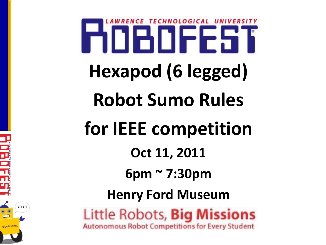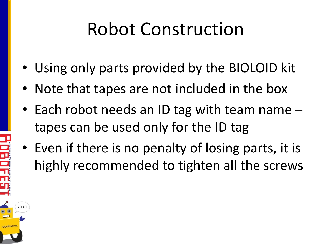### Robot Construction

- Using only parts provided by the BIOLOID kit
- Note that tapes are not included in the box
- Each robot needs an ID tag with team name tapes can be used only for the ID tag
- Even if there is no penalty of losing parts, it is highly recommended to tighten all the screws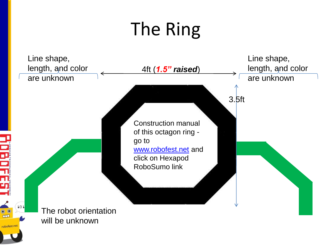## The Ring

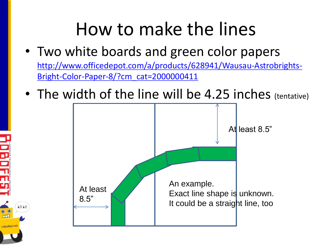#### How to make the lines

- Two white boards and green color papers [http://www.officedepot.com/a/products/628941/Wausau-Astrobrights-](http://www.officedepot.com/a/products/628941/Wausau-Astrobrights-Bright-Color-Paper-8/?cm_cat=2000000411)[Bright-Color-Paper-8/?cm\\_cat=2000000411](http://www.officedepot.com/a/products/628941/Wausau-Astrobrights-Bright-Color-Paper-8/?cm_cat=2000000411)
- The width of the line will be 4.25 inches (tentative)



 $1 \cap 1 \cap$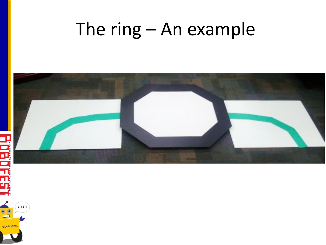#### The ring – An example



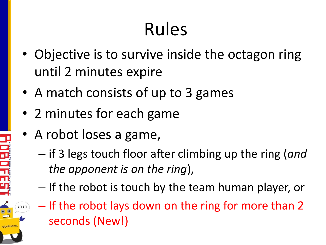## Rules

- Objective is to survive inside the octagon ring until 2 minutes expire
- A match consists of up to 3 games
- 2 minutes for each game
- A robot loses a game,

1010

- if 3 legs touch floor after climbing up the ring (*and the opponent is on the ring*),
- If the robot is touch by the team human player, or
- If the robot lays down on the ring for more than 2 seconds (New!)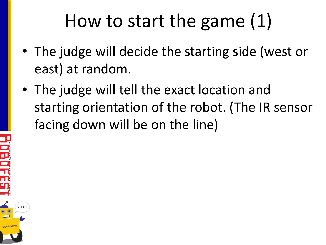## How to start the game (1)

- The judge will decide the starting side (west or east) at random.
- The judge will tell the exact location and starting orientation of the robot. (The IR sensor facing down will be on the line)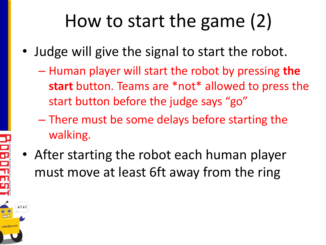## How to start the game (2)

- Judge will give the signal to start the robot.
	- Human player will start the robot by pressing **the start** button. Teams are \*not\* allowed to press the start button before the judge says "go"
	- There must be some delays before starting the walking.
- After starting the robot each human player must move at least 6ft away from the ring

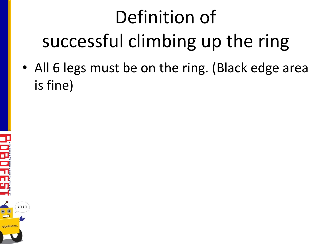# Definition of successful climbing up the ring

• All 6 legs must be on the ring. (Black edge area is fine)

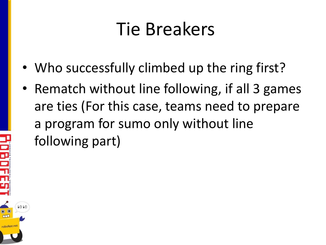#### Tie Breakers

- Who successfully climbed up the ring first?
- Rematch without line following, if all 3 games are ties (For this case, teams need to prepare a program for sumo only without line following part)

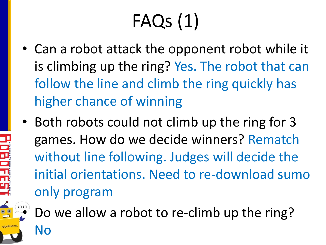# FAQs (1)

- Can a robot attack the opponent robot while it is climbing up the ring? Yes. The robot that can follow the line and climb the ring quickly has higher chance of winning
- Both robots could not climb up the ring for 3 games. How do we decide winners? Rematch without line following. Judges will decide the initial orientations. Need to re-download sumo only program



• Do we allow a robot to re-climb up the ring?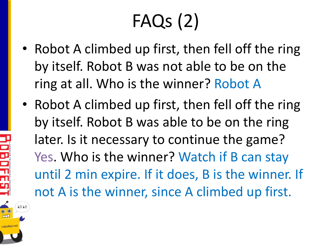# FAQs (2)

- Robot A climbed up first, then fell off the ring by itself. Robot B was not able to be on the ring at all. Who is the winner? Robot A
- Robot A climbed up first, then fell off the ring by itself. Robot B was able to be on the ring later. Is it necessary to continue the game? Yes. Who is the winner? Watch if B can stay until 2 min expire. If it does, B is the winner. If not A is the winner, since A climbed up first.

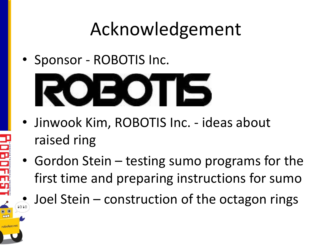### Acknowledgement

• Sponsor - ROBOTIS Inc.



- Jinwook Kim, ROBOTIS Inc. ideas about raised ring
- Gordon Stein testing sumo programs for the first time and preparing instructions for sumo
- $\bullet$  Joel Stein construction of the octagon rings